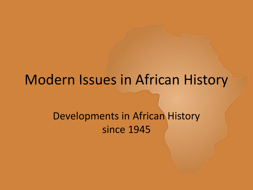### Modern Issues in African History

#### Developments in African History since 1945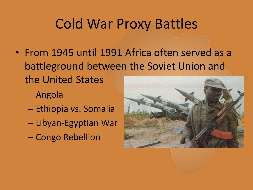## Cold War Proxy Battles

- From 1945 until 1991 Africa often served as a battleground between the Soviet Union and the United States
	- Angola
	- Ethiopia vs. Somalia
	- Libyan-Egyptian War
	- Congo Rebellion

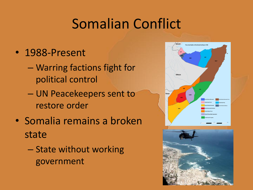# Somalian Conflict

- 1988-Present
	- Warring factions fight for political control
	- UN Peacekeepers sent to restore order
- Somalia remains a broken state
	- State without working government



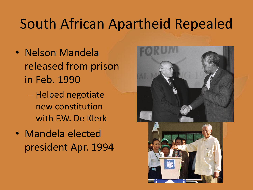# South African Apartheid Repealed

- Nelson Mandela released from prison in Feb. 1990
	- Helped negotiate new constitution with F.W. De Klerk
- Mandela elected president Apr. 1994

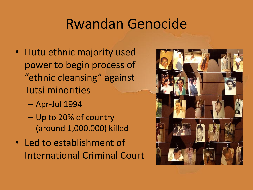## Rwandan Genocide

- Hutu ethnic majority used power to begin process of "ethnic cleansing" against Tutsi minorities
	- Apr-Jul 1994
	- Up to 20% of country (around 1,000,000) killed
- Led to establishment of International Criminal Court

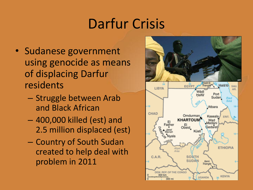# Darfur Crisis

- Sudanese government using genocide as means of displacing Darfur residents
	- Struggle between Arab and Black African
	- 400,000 killed (est) and 2.5 million displaced (est)
	- Country of South Sudan created to help deal with problem in 2011

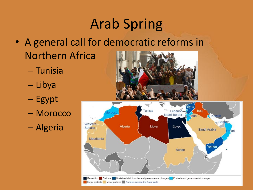# Arab Spring

- A general call for democratic reforms in Northern Africa
	- Tunisia
	- Libya
	- Egypt
	- Morocco

– Algeria